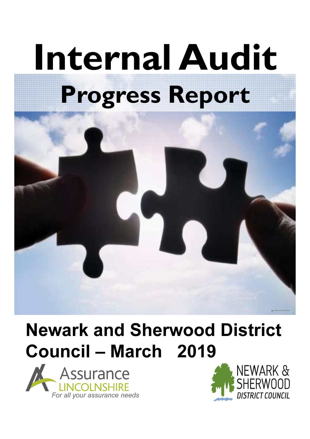# Internal Audit Progress Report



## Newark and Sherwood District Council – March 2019



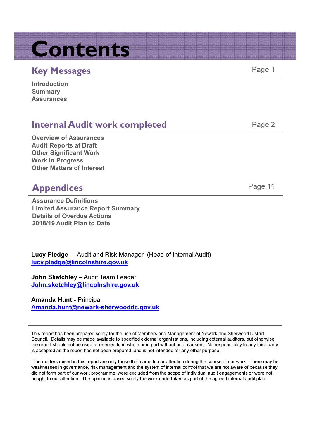## Contents

#### Key Messages **Page 1** and the Page 1

| <b>Introduction</b> |  |
|---------------------|--|
| <b>Summary</b>      |  |
| <b>Assurances</b>   |  |

#### **Internal Audit work completed Fage 2** Page 2

Overview of Assurances Audit Reports at Draft Other Significant Work Work in Progress Other Matters of Interest

#### Appendices Page 11

Assurance Definitions Limited Assurance Report Summary Details of Overdue Actions 2018/19 Audit Plan to Date

Lucy Pledge - Audit and Risk Manager (Head of Internal Audit) lucy.pledge@lincolnshire.gov.uk

John Sketchley – Audit Team Leader John.sketchley@lincolnshire.gov.uk

Amanda Hunt - Principal Amanda.hunt@newark-sherwooddc.gov.uk

This report has been prepared solely for the use of Members and Management of Newark and Sherwood District Council. Details may be made available to specified external organisations, including external auditors, but otherwise the report should not be used or referred to in whole or in part without prior consent. No responsibility to any third party is accepted as the report has not been prepared, and is not intended for any other purpose.

The matters raised in this report are only those that came to our attention during the course of our work – there may be weaknesses in governance, risk management and the system of internal control that we are not aware of because they did not form part of our work programme, were excluded from the scope of individual audit engagements or were not bought to our attention. The opinion is based solely the work undertaken as part of the agreed internal audit plan.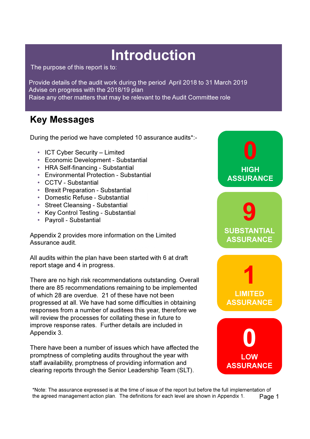## Introduction

The purpose of this report is to:

Provide details of the audit work during the period April 2018 to 31 March 2019 Advise on progress with the 2018/19 plan Raise any other matters that may be relevant to the Audit Committee role

#### Key Messages

During the period we have completed 10 assurance audits\*:-

- ICT Cyber Security Limited
- Economic Development Substantial
- HRA Self-financing Substantial
- Environmental Protection Substantial
- CCTV Substantial
- Brexit Preparation Substantial
- Domestic Refuse Substantial
- Street Cleansing Substantial
- Key Control Testing Substantial
- Payroll Substantial

Appendix 2 provides more information on the Limited Assurance audit.

All audits within the plan have been started with 6 at draft report stage and 4 in progress.

There are no high risk recommendations outstanding. Overall there are 85 recommendations remaining to be implemented of which 28 are overdue. 21 of these have not been progressed at all. We have had some difficulties in obtaining responses from a number of auditees this year, therefore we will review the processes for collating these in future to improve response rates. Further details are included in Appendix 3.

There have been a number of issues which have affected the promptness of completing audits throughout the year with staff availability, promptness of providing information and clearing reports through the Senior Leadership Team (SLT).



LOW ASSURANCE

\*Note: The assurance expressed is at the time of issue of the report but before the full implementation of the agreed management action plan. The definitions for each level are shown in Appendix 1. Page 1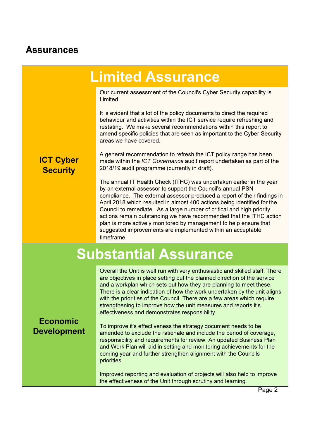#### Assurances

## Limited Assurance

Our current assessment of the Council's Cyber Security capability is Limited.

It is evident that a lot of the policy documents to direct the required behaviour and activities within the ICT service require refreshing and restating. We make several recommendations within this report to amend specific policies that are seen as important to the Cyber Security areas we have covered.

ICT Cyber **Security** 

A general recommendation to refresh the ICT policy range has been made within the ICT Governance audit report undertaken as part of the 2018/19 audit programme (currently in draft).

The annual IT Health Check (ITHC) was undertaken earlier in the year by an external assessor to support the Council's annual PSN compliance. The external assessor produced a report of their findings in April 2018 which resulted in almost 400 actions being identified for the Council to remediate. As a large number of critical and high priority actions remain outstanding we have recommended that the ITHC action plan is more actively monitored by management to help ensure that suggested improvements are implemented within an acceptable timeframe.

## Substantial Assurance

Overall the Unit is well run with very enthusiastic and skilled staff. There are objectives in place setting out the planned direction of the service and a workplan which sets out how they are planning to meet these. There is a clear indication of how the work undertaken by the unit aligns with the priorities of the Council. There are a few areas which require strengthening to improve how the unit measures and reports it's effectiveness and demonstrates responsibility.

#### Economic Development

To improve it's effectiveness the strategy document needs to be amended to exclude the rationale and include the period of coverage, responsibility and requirements for review. An updated Business Plan and Work Plan will aid in setting and monitoring achievements for the coming year and further strengthen alignment with the Councils priorities.

Improved reporting and evaluation of projects will also help to improve the effectiveness of the Unit through scrutiny and learning.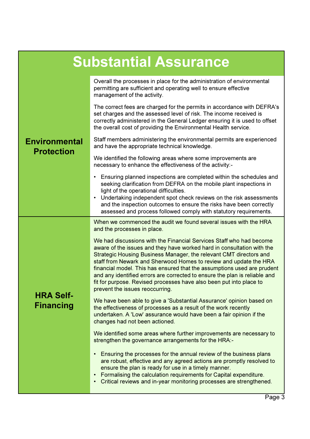| <b>Substantial Assurance</b>              |                                                                                                                                                                                                                                                                                                                                                                                                                                                                                                                                                             |  |  |  |  |
|-------------------------------------------|-------------------------------------------------------------------------------------------------------------------------------------------------------------------------------------------------------------------------------------------------------------------------------------------------------------------------------------------------------------------------------------------------------------------------------------------------------------------------------------------------------------------------------------------------------------|--|--|--|--|
|                                           | Overall the processes in place for the administration of environmental<br>permitting are sufficient and operating well to ensure effective<br>management of the activity.                                                                                                                                                                                                                                                                                                                                                                                   |  |  |  |  |
|                                           | The correct fees are charged for the permits in accordance with DEFRA's<br>set charges and the assessed level of risk. The income received is<br>correctly administered in the General Ledger ensuring it is used to offset<br>the overall cost of providing the Environmental Health service.                                                                                                                                                                                                                                                              |  |  |  |  |
| <b>Environmental</b><br><b>Protection</b> | Staff members administering the environmental permits are experienced<br>and have the appropriate technical knowledge.                                                                                                                                                                                                                                                                                                                                                                                                                                      |  |  |  |  |
|                                           | We identified the following areas where some improvements are<br>necessary to enhance the effectiveness of the activity:-                                                                                                                                                                                                                                                                                                                                                                                                                                   |  |  |  |  |
|                                           | • Ensuring planned inspections are completed within the schedules and<br>seeking clarification from DEFRA on the mobile plant inspections in<br>light of the operational difficulties.<br>Undertaking independent spot check reviews on the risk assessments<br>$\bullet$<br>and the inspection outcomes to ensure the risks have been correctly                                                                                                                                                                                                            |  |  |  |  |
|                                           | assessed and process followed comply with statutory requirements.<br>When we commenced the audit we found several issues with the HRA<br>and the processes in place.                                                                                                                                                                                                                                                                                                                                                                                        |  |  |  |  |
|                                           | We had discussions with the Financial Services Staff who had become<br>aware of the issues and they have worked hard in consultation with the<br>Strategic Housing Business Manager, the relevant CMT directors and<br>staff from Newark and Sherwood Homes to review and update the HRA<br>financial model. This has ensured that the assumptions used are prudent<br>and any identified errors are corrected to ensure the plan is reliable and<br>fit for purpose. Revised processes have also been put into place to<br>prevent the issues reoccurring. |  |  |  |  |
| <b>HRA Self-</b><br><b>Financing</b>      | We have been able to give a 'Substantial Assurance' opinion based on<br>the effectiveness of processes as a result of the work recently<br>undertaken. A 'Low' assurance would have been a fair opinion if the<br>changes had not been actioned.                                                                                                                                                                                                                                                                                                            |  |  |  |  |
|                                           | We identified some areas where further improvements are necessary to<br>strengthen the governance arrangements for the HRA:-                                                                                                                                                                                                                                                                                                                                                                                                                                |  |  |  |  |
|                                           | Ensuring the processes for the annual review of the business plans<br>$\bullet$<br>are robust, effective and any agreed actions are promptly resolved to<br>ensure the plan is ready for use in a timely manner.<br>Formalising the calculation requirements for Capital expenditure.<br>Critical reviews and in-year monitoring processes are strengthened.<br>$\bullet$                                                                                                                                                                                   |  |  |  |  |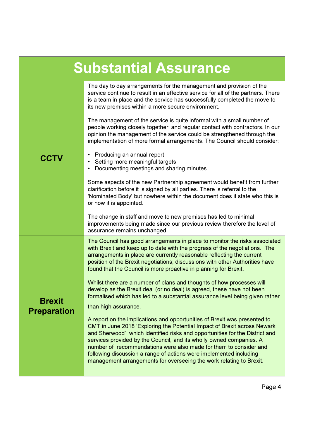| <b>Substantial Assurance</b> |                                                                                                                                                                                                                                                                                                                                                                                                                                                                                                                               |  |  |  |  |
|------------------------------|-------------------------------------------------------------------------------------------------------------------------------------------------------------------------------------------------------------------------------------------------------------------------------------------------------------------------------------------------------------------------------------------------------------------------------------------------------------------------------------------------------------------------------|--|--|--|--|
| <b>CCTV</b>                  | The day to day arrangements for the management and provision of the<br>service continue to result in an effective service for all of the partners. There<br>is a team in place and the service has successfully completed the move to<br>its new premises within a more secure environment.                                                                                                                                                                                                                                   |  |  |  |  |
|                              | The management of the service is quite informal with a small number of<br>people working closely together, and regular contact with contractors. In our<br>opinion the management of the service could be strengthened through the<br>implementation of more formal arrangements. The Council should consider:                                                                                                                                                                                                                |  |  |  |  |
|                              | Producing an annual report<br>$\bullet$<br>Setting more meaningful targets<br>$\bullet$<br>Documenting meetings and sharing minutes                                                                                                                                                                                                                                                                                                                                                                                           |  |  |  |  |
|                              | Some aspects of the new Partnership agreement would benefit from further<br>clarification before it is signed by all parties. There is referral to the<br>'Nominated Body' but nowhere within the document does it state who this is<br>or how it is appointed.                                                                                                                                                                                                                                                               |  |  |  |  |
|                              | The change in staff and move to new premises has led to minimal<br>improvements being made since our previous review therefore the level of<br>assurance remains unchanged.                                                                                                                                                                                                                                                                                                                                                   |  |  |  |  |
|                              | The Council has good arrangements in place to monitor the risks associated<br>with Brexit and keep up to date with the progress of the negotiations. The<br>arrangements in place are currently reasonable reflecting the current<br>position of the Brexit negotiations; discussions with other Authorities have<br>found that the Council is more proactive in planning for Brexit.                                                                                                                                         |  |  |  |  |
| <b>Brexit</b>                | Whilst there are a number of plans and thoughts of how processes will<br>develop as the Brexit deal (or no deal) is agreed, these have not been<br>formalised which has led to a substantial assurance level being given rather<br>than high assurance.                                                                                                                                                                                                                                                                       |  |  |  |  |
| <b>Preparation</b>           | A report on the implications and opportunities of Brexit was presented to<br>CMT in June 2018 'Exploring the Potential Impact of Brexit across Newark<br>and Sherwood' which identified risks and opportunities for the District and<br>services provided by the Council, and its wholly owned companies. A<br>number of recommendations were also made for them to consider and<br>following discussion a range of actions were implemented including<br>management arrangements for overseeing the work relating to Brexit. |  |  |  |  |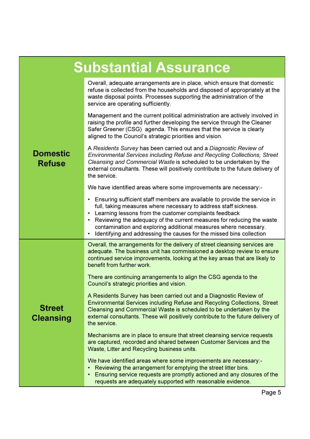| <b>Substantial Assurance</b>      |                                                                                                                                                                                                                                                                                                                                                                                                                                                            |  |  |  |  |  |
|-----------------------------------|------------------------------------------------------------------------------------------------------------------------------------------------------------------------------------------------------------------------------------------------------------------------------------------------------------------------------------------------------------------------------------------------------------------------------------------------------------|--|--|--|--|--|
| <b>Domestic</b><br><b>Refuse</b>  | Overall, adequate arrangements are in place, which ensure that domestic<br>refuse is collected from the households and disposed of appropriately at the<br>waste disposal points. Processes supporting the administration of the<br>service are operating sufficiently.                                                                                                                                                                                    |  |  |  |  |  |
|                                   | Management and the current political administration are actively involved in<br>raising the profile and further developing the service through the Cleaner<br>Safer Greener (CSG) agenda. This ensures that the service is clearly<br>aligned to the Council's strategic priorities and vision.                                                                                                                                                            |  |  |  |  |  |
|                                   | A Residents Survey has been carried out and a Diagnostic Review of<br>Environmental Services including Refuse and Recycling Collections, Street<br>Cleansing and Commercial Waste is scheduled to be undertaken by the<br>external consultants. These will positively contribute to the future delivery of<br>the service.                                                                                                                                 |  |  |  |  |  |
|                                   | We have identified areas where some improvements are necessary:-                                                                                                                                                                                                                                                                                                                                                                                           |  |  |  |  |  |
|                                   | Ensuring sufficient staff members are available to provide the service in<br>$\bullet$<br>full, taking measures where necessary to address staff sickness.<br>• Learning lessons from the customer complaints feedback<br>• Reviewing the adequacy of the current measures for reducing the waste<br>contamination and exploring additional measures where necessary.<br>Identifying and addressing the causes for the missed bins collection<br>$\bullet$ |  |  |  |  |  |
|                                   | Overall, the arrangements for the delivery of street cleansing services are<br>adequate. The business unit has commissioned a desktop review to ensure<br>continued service improvements, looking at the key areas that are likely to<br>benefit from further work.                                                                                                                                                                                        |  |  |  |  |  |
|                                   | There are continuing arrangements to align the CSG agenda to the<br>Council's strategic priorities and vision.                                                                                                                                                                                                                                                                                                                                             |  |  |  |  |  |
| <b>Street</b><br><b>Cleansing</b> | A Residents Survey has been carried out and a Diagnostic Review of<br><b>Environmental Services including Refuse and Recycling Collections, Street</b><br>Cleansing and Commercial Waste is scheduled to be undertaken by the<br>external consultants. These will positively contribute to the future delivery of<br>the service.                                                                                                                          |  |  |  |  |  |
|                                   | Mechanisms are in place to ensure that street cleansing service requests<br>are captured, recorded and shared between Customer Services and the<br>Waste, Litter and Recycling business units.                                                                                                                                                                                                                                                             |  |  |  |  |  |
|                                   | We have identified areas where some improvements are necessary:-<br>Reviewing the arrangement for emptying the street litter bins.<br>Ensuring service requests are promptly actioned and any closures of the<br>requests are adequately supported with reasonable evidence.                                                                                                                                                                               |  |  |  |  |  |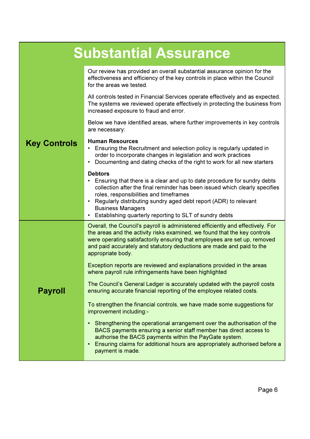| <b>Substantial Assurance</b> |                                                                                                                                                                                                                                                                                                                                                                                                                  |  |  |  |  |
|------------------------------|------------------------------------------------------------------------------------------------------------------------------------------------------------------------------------------------------------------------------------------------------------------------------------------------------------------------------------------------------------------------------------------------------------------|--|--|--|--|
|                              | Our review has provided an overall substantial assurance opinion for the<br>effectiveness and efficiency of the key controls in place within the Council<br>for the areas we tested.                                                                                                                                                                                                                             |  |  |  |  |
|                              | All controls tested in Financial Services operate effectively and as expected.<br>The systems we reviewed operate effectively in protecting the business from<br>increased exposure to fraud and error.                                                                                                                                                                                                          |  |  |  |  |
|                              | Below we have identified areas, where further improvements in key controls<br>are necessary:                                                                                                                                                                                                                                                                                                                     |  |  |  |  |
| <b>Key Controls</b>          | <b>Human Resources</b><br>• Ensuring the Recruitment and selection policy is regularly updated in<br>order to incorporate changes in legislation and work practices<br>Documenting and dating checks of the right to work for all new starters<br>٠                                                                                                                                                              |  |  |  |  |
|                              | <b>Debtors</b><br>• Ensuring that there is a clear and up to date procedure for sundry debts<br>collection after the final reminder has been issued which clearly specifies<br>roles, responsibilities and timeframes<br>• Regularly distributing sundry aged debt report (ADR) to relevant<br><b>Business Managers</b><br>• Establishing quarterly reporting to SLT of sundry debts                             |  |  |  |  |
|                              | Overall, the Council's payroll is administered efficiently and effectively. For<br>the areas and the activity risks examined, we found that the key controls<br>were operating satisfactorily ensuring that employees are set up, removed<br>and paid accurately and statutory deductions are made and paid to the<br>appropriate body.<br>Exception reports are reviewed and explanations provided in the areas |  |  |  |  |
| <b>Payroll</b>               | where payroll rule infringements have been highlighted<br>The Council's General Ledger is accurately updated with the payroll costs<br>ensuring accurate financial reporting of the employee related costs.                                                                                                                                                                                                      |  |  |  |  |
|                              | To strengthen the financial controls, we have made some suggestions for<br>improvement including:-                                                                                                                                                                                                                                                                                                               |  |  |  |  |
|                              | • Strengthening the operational arrangement over the authorisation of the<br>BACS payments ensuring a senior staff member has direct access to<br>authorise the BACS payments within the PayGate system.<br>Ensuring claims for additional hours are appropriately authorised before a<br>$\bullet$<br>payment is made.                                                                                          |  |  |  |  |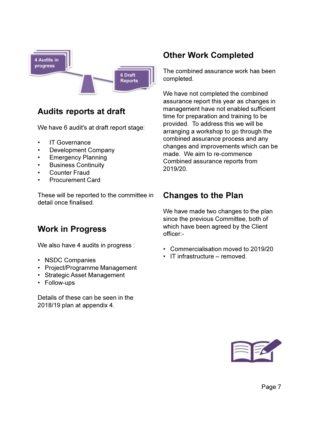

#### Audits reports at draft

We have 6 audit's at draft report stage:

- IT Governance
- Development Company
- Emergency Planning
- Business Continuity
- **Counter Fraud**
- Procurement Card

These will be reported to the committee in detail once finalised.

#### Work in Progress

We also have 4 audits in progress :

- NSDC Companies
- Project/Programme Management
- Strategic Asset Management
- Follow-ups

Details of these can be seen in the 2018/19 plan at appendix 4.

#### Other Work Completed

The combined assurance work has been completed.

We have not completed the combined assurance report this year as changes in management have not enabled sufficient time for preparation and training to be provided. To address this we will be arranging a workshop to go through the combined assurance process and any changes and improvements which can be made. We aim to re-commence Combined assurance reports from 2019/20.

#### Changes to the Plan

We have made two changes to the plan since the previous Committee, both of which have been agreed by the Client officer:-

- Commercialisation moved to 2019/20
- IT infrastructure removed.

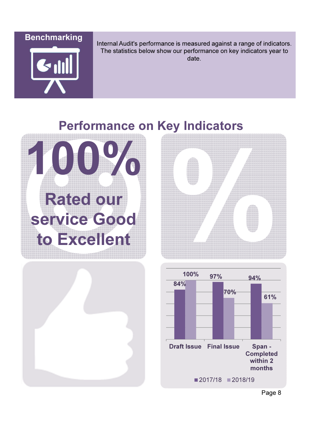**Benchmarking** 



Internal Audit's performance is measured against a range of indicators. The statistics below show our performance on key indicators year to date.

## Performance on Key Indicators







Page 8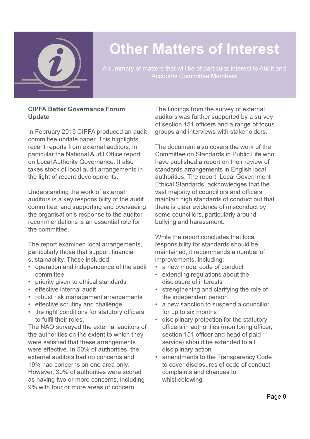

## Other Matters of Interest

A summary of matters that will be of particular interest to Audit and Accounts Committee Members

#### CIPFA Better Governance Forum Update

In February 2019 CIPFA produced an audit committee update paper. This highlights recent reports from external auditors, in particular the National Audit Office report on Local Authority Governance. It also takes stock of local audit arrangements in the light of recent developments.

Understanding the work of external auditors is a key responsibility of the audit committee, and supporting and overseeing the organisation's response to the auditor recommendations is an essential role for the committee.

The report examined local arrangements, particularly those that support financial sustainability. These included:

- operation and independence of the audit committee
- priority given to ethical standards
- effective internal audit
- robust risk management arrangements
- effective scrutiny and challenge
- the right conditions for statutory officers to fulfil their roles.

The NAO surveyed the external auditors of the authorities on the extent to which they were satisfied that these arrangements were effective. In 50% of authorities, the external auditors had no concerns and 19% had concerns on one area only. However, 30% of authorities were scored as having two or more concerns, including 9% with four or more areas of concern.

The findings from the survey of external auditors was further supported by a survey of section 151 officers and a range of focus groups and interviews with stakeholders.

The document also covers the work of the Committee on Standards in Public Life who have published a report on their review of standards arrangements in English local authorities. The report, Local Government Ethical Standards, acknowledges that the vast majority of councillors and officers maintain high standards of conduct but that there is clear evidence of misconduct by some councillors, particularly around bullying and harassment.

While the report concludes that local responsibility for standards should be maintained, it recommends a number of improvements, including:

- a new model code of conduct
- extending regulations about the disclosure of interests
- strengthening and clarifying the role of the independent person
- a new sanction to suspend a councillor for up to six months
- disciplinary protection for the statutory officers in authorities (monitoring officer, section 151 officer and head of paid service) should be extended to all disciplinary action
- amendments to the Transparency Code to cover disclosures of code of conduct complaints and changes to whistleblowing.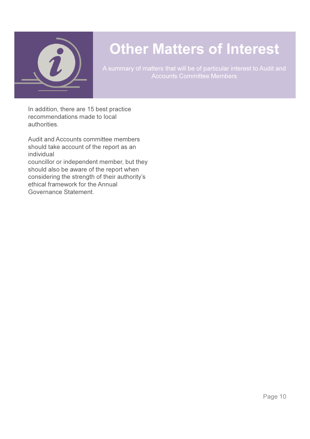

## Other Matters of Interest

A summary of matters that will be of particular interest to Audit and Accounts Committee Members

In addition, there are 15 best practice recommendations made to local authorities.

Audit and Accounts committee members should take account of the report as an individual

councillor or independent member, but they should also be aware of the report when considering the strength of their authority's ethical framework for the Annual Governance Statement.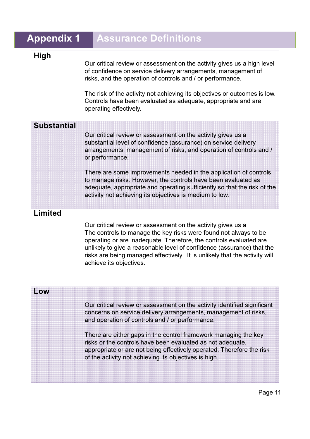#### **Appendix 1 Assurance Definitions**

#### High

Our critical review or assessment on the activity gives us a high level of confidence on service delivery arrangements, management of risks, and the operation of controls and / or performance.

The risk of the activity not achieving its objectives or outcomes is low. Controls have been evaluated as adequate, appropriate and are operating effectively.

| <b>Substantial</b> |                                                                                                                                                                                                                                                                           |
|--------------------|---------------------------------------------------------------------------------------------------------------------------------------------------------------------------------------------------------------------------------------------------------------------------|
|                    | Our critical review or assessment on the activity gives us a<br>substantial level of confidence (assurance) on service delivery<br>arrangements, management of risks, and operation of controls and /<br>or performance.                                                  |
|                    | There are some improvements needed in the application of controls<br>to manage risks. However, the controls have been evaluated as<br>adequate, appropriate and operating sufficiently so that the risk of the<br>activity not achieving its objectives is medium to low. |

#### Limited

Our critical review or assessment on the activity gives us a The controls to manage the key risks were found not always to be operating or are inadequate. Therefore, the controls evaluated are unlikely to give a reasonable level of confidence (assurance) that the risks are being managed effectively. It is unlikely that the activity will achieve its objectives.

| LOW |                                                                                                                                                                                                                                                                 |
|-----|-----------------------------------------------------------------------------------------------------------------------------------------------------------------------------------------------------------------------------------------------------------------|
|     | Our critical review or assessment on the activity identified significant<br>concerns on service delivery arrangements, management of risks,<br>and operation of controls and / or performance.                                                                  |
|     | There are either gaps in the control framework managing the key<br>risks or the controls have been evaluated as not adequate,<br>appropriate or are not being effectively operated. Therefore the risk<br>of the activity not achieving its objectives is high. |
|     |                                                                                                                                                                                                                                                                 |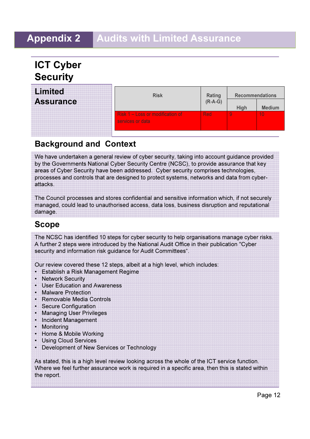#### Appendix 2 Audits with Limited Assurance

#### ICT Cyber **Security**

| <b>Limited</b>   | <b>Risk</b>                                          | Rating<br>(R-A-G) | <b>Recommendations</b> |               |
|------------------|------------------------------------------------------|-------------------|------------------------|---------------|
| <b>Assurance</b> |                                                      |                   | High                   | <b>Medium</b> |
|                  | Risk 1 - Loss or modification of<br>services or data | Red               |                        | 10            |
|                  |                                                      |                   |                        |               |

#### Background and Context

We have undertaken a general review of cyber security, taking into account guidance provided by the Governments National Cyber Security Centre (NCSC), to provide assurance that key areas of Cyber Security have been addressed. Cyber security comprises technologies, processes and controls that are designed to protect systems, networks and data from cyberattacks.

The Council processes and stores confidential and sensitive information which, if not securely managed, could lead to unauthorised access, data loss, business disruption and reputational damage.

#### Scope

The NCSC has identified 10 steps for cyber security to help organisations manage cyber risks. A further 2 steps were introduced by the National Audit Office in their publication "Cyber security and information risk guidance for Audit Committees".

Our review covered these 12 steps, albeit at a high level, which includes:

- Establish a Risk Management Regime
- Network Security
- User Education and Awareness
- Malware Protection
- Removable Media Controls
- Secure Configuration
- Managing User Privileges
- Incident Management
- Monitoring
- Home & Mobile Working
- Using Cloud Services
- Development of New Services or Technology

As stated, this is a high level review looking across the whole of the ICT service function. Where we feel further assurance work is required in a specific area, then this is stated within the report.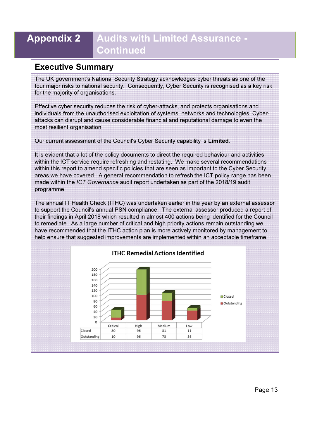#### Appendix 2 Audits with Limited Assurance - Continued

#### Executive Summary

The UK government's National Security Strategy acknowledges cyber threats as one of the four major risks to national security. Consequently, Cyber Security is recognised as a key risk for the majority of organisations.

Effective cyber security reduces the risk of cyber-attacks, and protects organisations and individuals from the unauthorised exploitation of systems, networks and technologies. Cyberattacks can disrupt and cause considerable financial and reputational damage to even the most resilient organisation.

Our current assessment of the Council's Cyber Security capability is Limited.

It is evident that a lot of the policy documents to direct the required behaviour and activities within the ICT service require refreshing and restating. We make several recommendations within this report to amend specific policies that are seen as important to the Cyber Security areas we have covered. A general recommendation to refresh the ICT policy range has been made within the ICT Governance audit report undertaken as part of the 2018/19 audit programme.

The annual IT Health Check (ITHC) was undertaken earlier in the year by an external assessor to support the Council's annual PSN compliance. The external assessor produced a report of their findings in April 2018 which resulted in almost 400 actions being identified for the Council to remediate. As a large number of critical and high priority actions remain outstanding we have recommended that the ITHC action plan is more actively monitored by management to help ensure that suggested improvements are implemented within an acceptable timeframe.

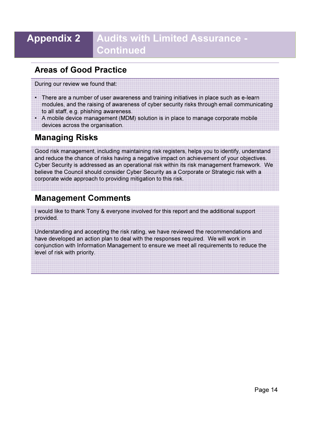#### Appendix 2 Audits with Limited Assurance - Continued

#### Areas of Good Practice

During our review we found that:

- There are a number of user awareness and training initiatives in place such as e-learn modules, and the raising of awareness of cyber security risks through email communicating to all staff, e.g. phishing awareness.
- A mobile device management (MDM) solution is in place to manage corporate mobile devices across the organisation.

#### Managing Risks

Good risk management, including maintaining risk registers, helps you to identify, understand and reduce the chance of risks having a negative impact on achievement of your objectives. Cyber Security is addressed as an operational risk within its risk management framework. We believe the Council should consider Cyber Security as a Corporate or Strategic risk with a corporate wide approach to providing mitigation to this risk.

#### Management Comments

I would like to thank Tony & everyone involved for this report and the additional support provided.

Understanding and accepting the risk rating, we have reviewed the recommendations and have developed an action plan to deal with the responses required. We will work in conjunction with Information Management to ensure we meet all requirements to reduce the level of risk with priority.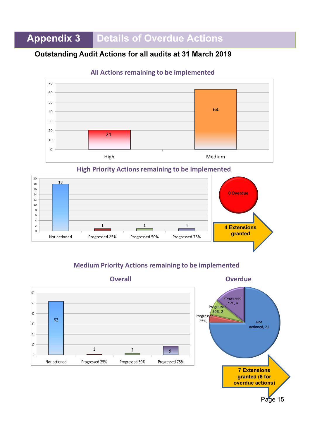### Appendix 3 Details of Overdue Actions

#### Outstanding Audit Actions for all audits at 31 March 2019



#### All Actions remaining to be implemented

High Priority Actions remaining to be implemented



#### Medium Priority Actions remaining to be implemented



Overall Overdue



Page 15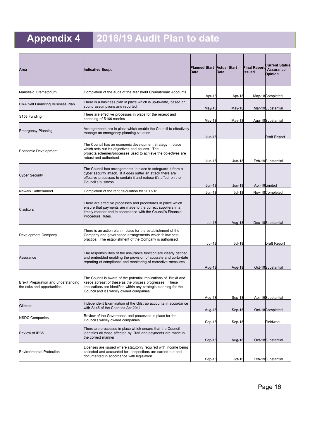## Appendix 4 2018/19 Audit Plan to date

| Area                                                                | <b>Indicative Scope</b>                                                                                                                                                                                                                     | <b>Planned Start Actual Start</b><br>Date | Date             | <b>Final Report</b><br><b>Issued</b> | <b>Current Status</b><br><b>Assurance</b><br><b>Opinion</b> |
|---------------------------------------------------------------------|---------------------------------------------------------------------------------------------------------------------------------------------------------------------------------------------------------------------------------------------|-------------------------------------------|------------------|--------------------------------------|-------------------------------------------------------------|
| Mansfield Crematorium                                               | Completion of the audit of the Mansfield Crematorium Accounts                                                                                                                                                                               | Apr-18                                    | Apr-18           |                                      | May-18Completed                                             |
| <b>HRA Self Financing Business Plan</b>                             | There is a business plan in place which is up-to-date, based on<br>sound assumptions and reported.                                                                                                                                          | May-18                                    | May-18           |                                      | Mar-19Substantial                                           |
| S <sub>106</sub> Funding                                            | There are effective processes in place for the receipt and<br>spending of S106 monies.                                                                                                                                                      | May-18                                    | May-18           |                                      | Aug-18Substantial                                           |
| <b>Emergency Planning</b>                                           | Arrangements are in place which enable the Council to effectively<br>manage an emergency planning situation.                                                                                                                                | <b>Jun-18</b>                             |                  |                                      | Draft Report                                                |
| Economic Development                                                | The Council has an economic development strategy in place<br>which sets out it's objectives and actions. The<br>projects/schemes/processes used to achieve the objectives are<br>robust and authorised.                                     | Jun-18                                    | Jun-18           |                                      | Feb-19Substantial                                           |
| Cyber Security                                                      | The Council has arrangements in place to safeguard it from a<br>cyber security attack. If it does suffer an attack there are<br>effective processes to contain it and reduce it's affect on the<br>Council's business.                      | $Jun-18$                                  | Jun-18           |                                      | Apr-19Limited                                               |
| Newark Cattlemarket                                                 | Completion of the rent calculation for 2017/18                                                                                                                                                                                              | Jun-18                                    | Jul-18           |                                      | Nov-18Completed                                             |
| Creditors                                                           | There are effective processes and procedures in place which<br>ensure that payments are made to the correct suppliers in a<br>timely manner and in accordance with the Council's Financial<br>Procedure Rules.                              | Jul-18                                    | Aug-18           |                                      | Dec-18Substantial                                           |
| Development Company                                                 | There is an action plan in place for the establishment of the<br>Company and governance arrangements which follow best<br>practice. The establishment of the Company is authorised.                                                         | Jul-18                                    | Jul-18           |                                      | Draft Report                                                |
| Assurance                                                           | The responsibilities of the assurance function are clearly defined<br>and embedded enabling the provision of accurate and up-to-date<br>reporting of compliance and monitoring of corrective measures.                                      | Aug-18                                    | Aug-18           |                                      | Oct-18Substantial                                           |
| Brexit Preparation and understanding<br>the risks and opportunities | The Council is aware of the potential implications of Brexit and<br>keeps abreast of these as the process progresses. These<br>mplications are identified within any strategic planning for the<br>Council and it's wholly owned companies. |                                           |                  |                                      |                                                             |
| Gilstrap                                                            | Independent Examination of the Gilstrap accounts in accordance<br>with S145 of the Charities Act 2011.                                                                                                                                      | Aug-18<br>Aug-18                          | Sep-18<br>Sep-18 |                                      | Apr-19Substantial<br>Oct-18Completed                        |
| <b>NSDC Companies</b>                                               | Review of the Governance and processes in place for the<br>Council's wholly owned companies.                                                                                                                                                | Sep-18                                    | Sep-18           |                                      | Fieldwork                                                   |
| Review of IR35                                                      | There are processes in place which ensure that the Council<br>dentifies all those affected by IR35 and payments are made in<br>the correct manner.                                                                                          | Sep-18                                    | Aug-18           |                                      | Oct-18Substantial                                           |
| <b>Environmental Protection</b>                                     | Licenses are issued where statutorily required with income being<br>collected and accounted for. Inspections are carried out and<br>documented in accordance with legislation.                                                              | Sep-18                                    | Oct-18           |                                      | Feb-19Substantial                                           |